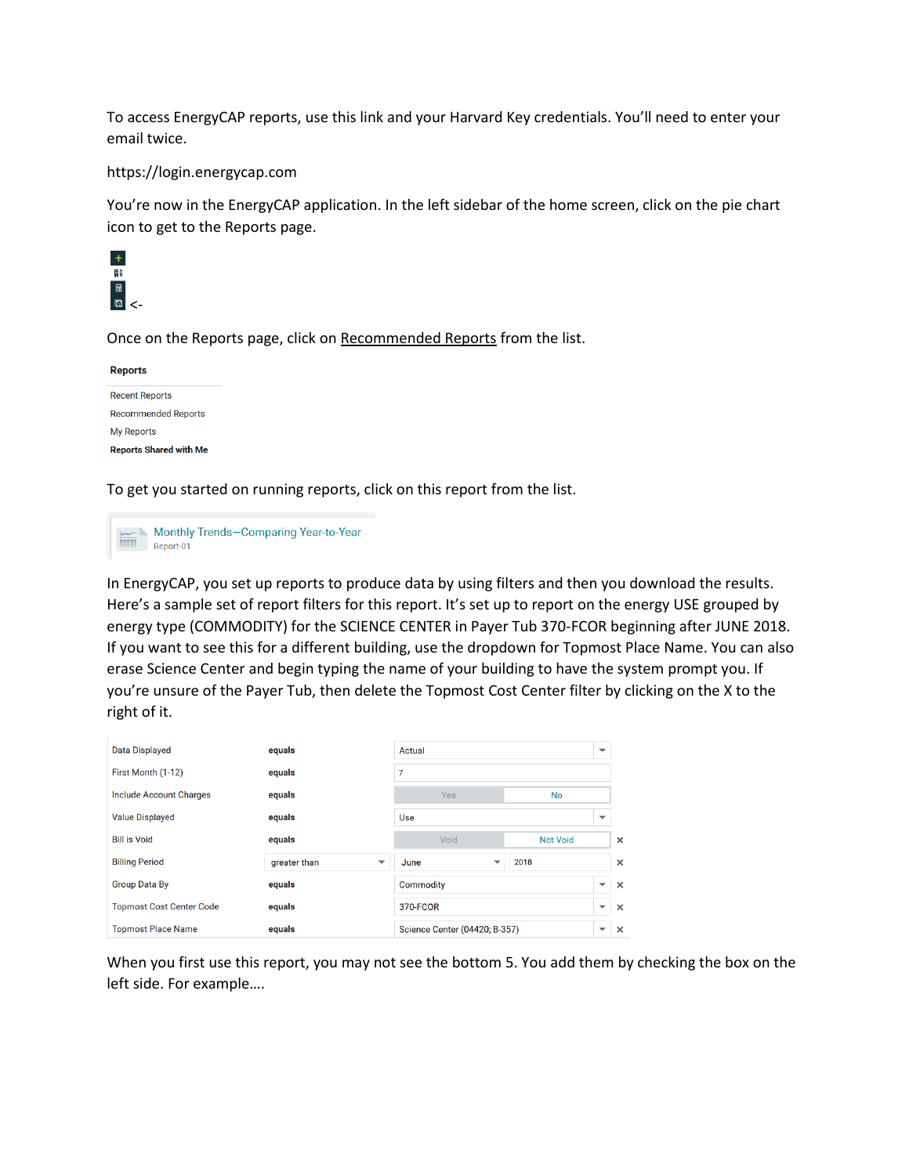To access EnergyCAP reports, use this link and your Harvard Key credentials. You'll need to enter your email twice.

## <https://login.energycap.com>

You're now in the EnergyCAP application. In the left sidebar of the home screen, click on the pie chart icon to get to the Reports page.



Once on the Reports page, click on Recommended Reports from the list.

| <b>Reports</b>                |
|-------------------------------|
| <b>Recent Reports</b>         |
| <b>Recommended Reports</b>    |
| <b>My Reports</b>             |
| <b>Reports Shared with Me</b> |

To get you started on running reports, click on this report from the list.



In EnergyCAP, you set up reports to produce data by using filters and then you download the results. Here's a sample set of report filters for this report. It's set up to report on the energy USE grouped by energy type (COMMODITY) for the SCIENCE CENTER in Payer Tub 370-FCOR beginning after JUNE 2018. If you want to see this for a different building, use the dropdown for Topmost Place Name. You can also erase Science Center and begin typing the name of your building to have the system prompt you. If you're unsure of the Payer Tub, then delete the Topmost Cost Center filter by clicking on the X to the right of it.

| <b>Data Displayed</b>           | equals                                   | Actual                        |                 | ▼                        |                       |
|---------------------------------|------------------------------------------|-------------------------------|-----------------|--------------------------|-----------------------|
| First Month (1-12)              | equals                                   | 7                             |                 |                          |                       |
| <b>Include Account Charges</b>  | equals                                   | Yes                           | <b>No</b>       |                          |                       |
| <b>Value Displayed</b>          | equals                                   | Use                           |                 | ▼                        |                       |
| <b>Bill is Void</b>             | equals                                   | Void                          | <b>Not Void</b> |                          | $\boldsymbol{\times}$ |
| <b>Billing Period</b>           | greater than<br>$\overline{\phantom{a}}$ | June<br>▼                     | 2018            |                          | $\boldsymbol{\times}$ |
| <b>Group Data By</b>            | equals                                   | <b>Commodity</b>              |                 | $\checkmark$             | $\boldsymbol{\times}$ |
| <b>Topmost Cost Center Code</b> | equals                                   | 370-FCOR                      |                 | $\overline{\phantom{0}}$ | $\mathbf x$           |
| <b>Topmost Place Name</b>       | equals                                   | Science Center (04420; B-357) |                 | $\overline{\phantom{0}}$ | $\boldsymbol{\times}$ |

When you first use this report, you may not see the bottom 5. You add them by checking the box on the left side. For example….